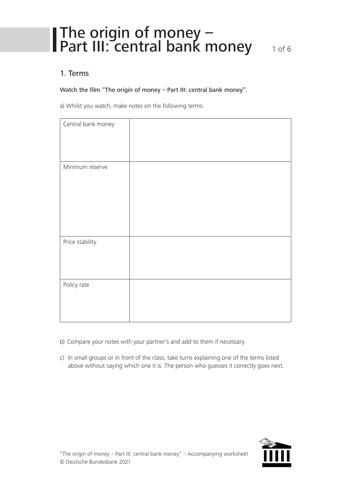### The origin of money – Part III: central bank money 1 of 6

#### 1. Terms

#### Watch the film "The origin of money – Part III: central bank money".

a) Whilst you watch, make notes on the following terms:

| Central bank money |  |
|--------------------|--|
| Minimum reserve    |  |
| Price stability    |  |
| Policy rate        |  |

- b) Compare your notes with your partner's and add to them if necessary.
- c) In small groups or in front of the class, take turns explaining one of the terms listed above without saying which one it is. The person who guesses it correctly goes next.

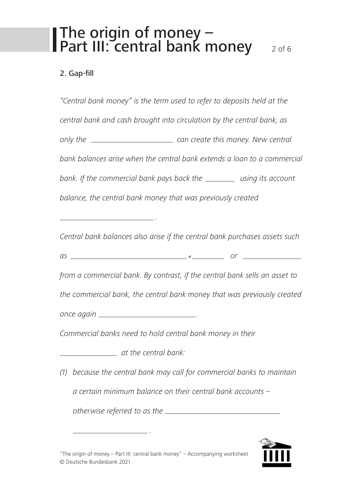### The origin of money – Part III: central bank money 2 of 6

#### 2. Gap-fill

*"Central bank money" is the term used to refer to deposits held at the central bank and cash brought into circulation by the central bank, as only the can create this money. New central bank balances arise when the central bank extends a loan to a commercial bank. If the commercial bank pays back the using its account balance, the central bank money that was previously created . Central bank balances also arise if the central bank purchases assets such* 

*as , or*

*from a commercial bank. By contrast, if the central bank sells an asset to* 

*the commercial bank, the central bank money that was previously created*

*once again .*

*Commercial banks need to hold central bank money in their*

*at the central bank:*

*(1) because the central bank may call for commercial banks to maintain a certain minimum balance on their central bank accounts –* 

*otherwise referred to as the*



*.*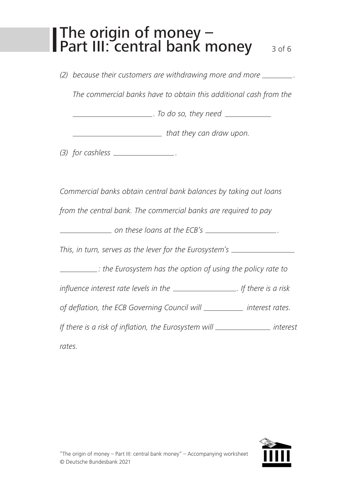### The origin of money – Part III: central bank money 3 of 6

*(2) because their customers are withdrawing more and more .*

*The commercial banks have to obtain this additional cash from the* 

*. To do so, they need*

*that they can draw upon.*

*(3) for cashless .*

*Commercial banks obtain central bank balances by taking out loans* 

*from the central bank. The commercial banks are required to pay*

*on these loans at the ECB's .*

*This, in turn, serves as the lever for the Eurosystem's*

*: the Eurosystem has the option of using the policy rate to* 

*influence interest rate levels in the . If there is a risk* 

*of deflation, the ECB Governing Council will interest rates.* 

*If there is a risk of inflation, the Eurosystem will* \_\_\_\_\_\_\_\_\_\_\_\_\_\_\_\_\_ *interest* 

*rates.*

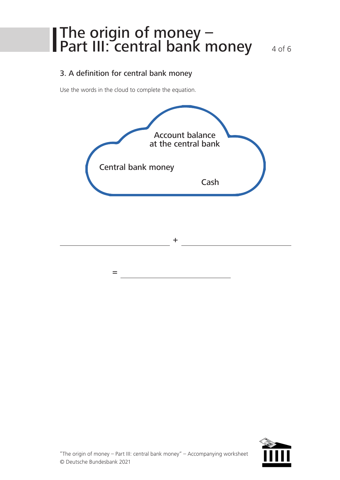### The origin of money – Part III: central bank money 4 of 6

#### 3. A definition for central bank money

Use the words in the cloud to complete the equation.

*=*



*+*

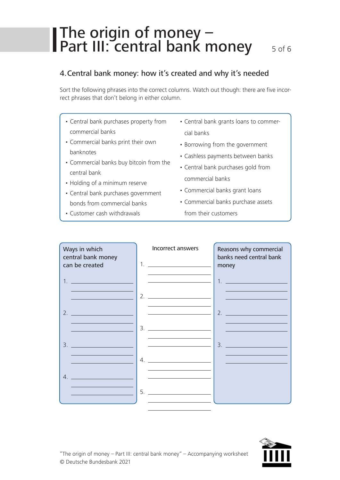# The origin of money – Part III: central bank money 5 of 6

#### 4.Central bank money: how it's created and why it's needed

Sort the following phrases into the correct columns. Watch out though: there are five incorrect phrases that don't belong in either column.

- Central bank purchases property from commercial banks
- Commercial banks print their own banknotes
- Commercial banks buy bitcoin from the central bank
- Holding of a minimum reserve
- Central bank purchases government bonds from commercial banks
- Customer cash withdrawals
- Central bank grants loans to commercial banks
- Borrowing from the government
- Cashless payments between banks
- Central bank purchases gold from commercial banks
- Commercial banks grant loans
- Commercial banks purchase assets from their customers